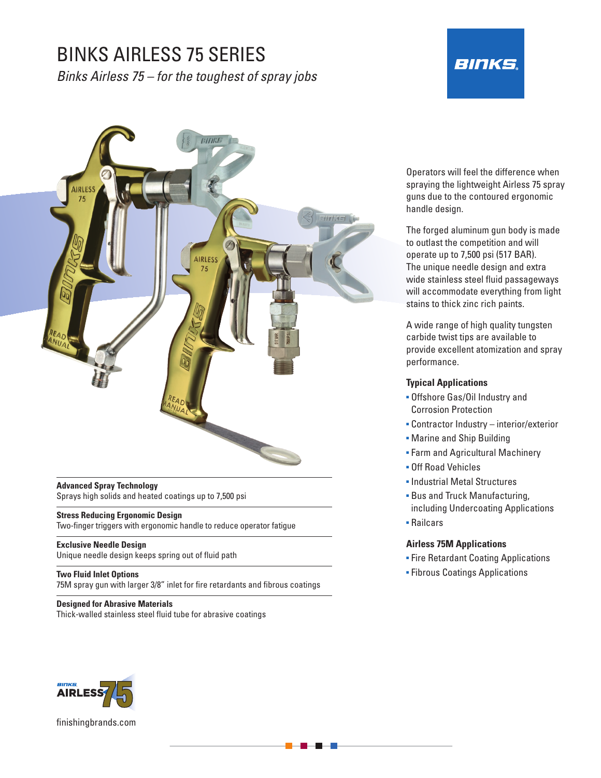## BINKS AIRLESS 75 SERIES

*Binks Airless 75 – for the toughest of spray jobs*

# **BINKS.**



#### **Advanced Spray Technology**  Sprays high solids and heated coatings up to 7,500 psi

**Stress Reducing Ergonomic Design**  Two-finger triggers with ergonomic handle to reduce operator fatigue

**Exclusive Needle Design**  Unique needle design keeps spring out of fluid path

**Two Fluid Inlet Options**  75M spray gun with larger 3/8" inlet for fire retardants and fibrous coatings

**Designed for Abrasive Materials**  Thick-walled stainless steel fluid tube for abrasive coatings Operators will feel the difference when spraying the lightweight Airless 75 spray guns due to the contoured ergonomic handle design.

The forged aluminum gun body is made to outlast the competition and will operate up to 7,500 psi (517 BAR). The unique needle design and extra wide stainless steel fluid passageways will accommodate everything from light stains to thick zinc rich paints.

A wide range of high quality tungsten carbide twist tips are available to provide excellent atomization and spray performance.

#### **Typical Applications**

- **Offshore Gas/Oil Industry and** Corrosion Protection
- **Contractor Industry interior/exterior**
- **Marine and Ship Building**
- **Farm and Agricultural Machinery**
- Off Road Vehicles
- Industrial Metal Structures
- **Bus and Truck Manufacturing,** including Undercoating Applications
- Railcars

#### **Airless 75M Applications**

- **Eire Retardant Coating Applications**
- **Fibrous Coatings Applications**